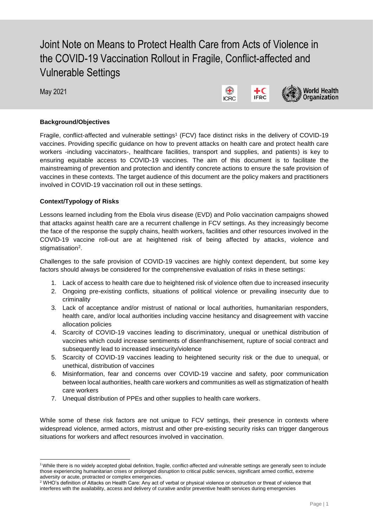# Joint Note on Means to Protect Health Care from Acts of Violence in the COVID-19 Vaccination Rollout in Fragile, Conflict-affected and Vulnerable Settings

May 2021

l





## **Background/Objectives**

Fragile, conflict-affected and vulnerable settings<sup>1</sup> (FCV) face distinct risks in the delivery of COVID-19 vaccines. Providing specific guidance on how to prevent attacks on health care and protect health care workers -including vaccinators-, healthcare facilities, transport and supplies, and patients) is key to ensuring equitable access to COVID-19 vaccines. The aim of this document is to facilitate the mainstreaming of prevention and protection and identify concrete actions to ensure the safe provision of vaccines in these contexts. The target audience of this document are the policy makers and practitioners involved in COVID-19 vaccination roll out in these settings.

## **Context/Typology of Risks**

Lessons learned including from the Ebola virus disease (EVD) and Polio vaccination campaigns showed that attacks against health care are a recurrent challenge in FCV settings. As they increasingly become the face of the response the supply chains, health workers, facilities and other resources involved in the COVID-19 vaccine roll-out are at heightened risk of being affected by attacks, violence and stigmatisation<sup>2</sup>.

Challenges to the safe provision of COVID-19 vaccines are highly context dependent, but some key factors should always be considered for the comprehensive evaluation of risks in these settings:

- 1. Lack of access to health care due to heightened risk of violence often due to increased insecurity
- 2. Ongoing pre-existing conflicts, situations of political violence or prevailing insecurity due to criminality
- 3. Lack of acceptance and/or mistrust of national or local authorities, humanitarian responders, health care, and/or local authorities including vaccine hesitancy and disagreement with vaccine allocation policies
- 4. Scarcity of COVID-19 vaccines leading to discriminatory, unequal or unethical distribution of vaccines which could increase sentiments of disenfranchisement, rupture of social contract and subsequently lead to increased insecurity/violence
- 5. Scarcity of COVID-19 vaccines leading to heightened security risk or the due to unequal, or unethical, distribution of vaccines
- 6. Misinformation, fear and concerns over COVID-19 vaccine and safety, poor communication between local authorities, health care workers and communities as well as stigmatization of health care workers
- 7. Unequal distribution of PPEs and other supplies to health care workers.

While some of these risk factors are not unique to FCV settings, their presence in contexts where widespread violence, armed actors, mistrust and other pre-existing security risks can trigger dangerous situations for workers and affect resources involved in vaccination.

<sup>1</sup> While there is no widely accepted global definition, fragile, conflict-affected and vulnerable settings are generally seen to include those experiencing humanitarian crises or prolonged disruption to critical public services, significant armed conflict, extreme adversity or acute, protracted or complex emergencies.

<sup>&</sup>lt;sup>2</sup> WHO's definition of Attacks on Health Care: Any act of verbal or physical violence or obstruction or threat of violence that interferes with the availability, access and delivery of curative and/or preventive health services during emergencies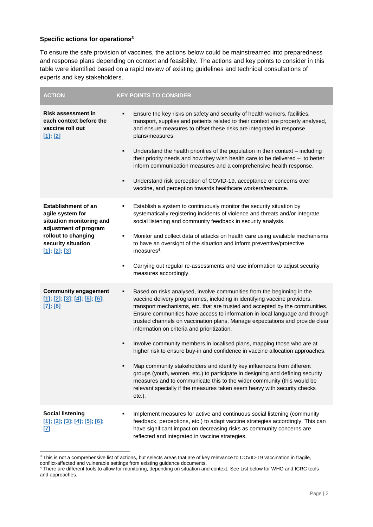### **Specific actions for operations<sup>3</sup>**

 $\overline{\phantom{a}}$ 

To ensure the safe provision of vaccines, the actions below could be mainstreamed into preparedness and response plans depending on context and feasibility. The actions and key points to consider in this table were identified based on a rapid review of existing guidelines and technical consultations of experts and key stakeholders.

| <b>ACTION</b>                                                                                                                                                     | <b>KEY POINTS TO CONSIDER</b>                                                                                                                                                                                                                                                                                                                                                                                                                         |
|-------------------------------------------------------------------------------------------------------------------------------------------------------------------|-------------------------------------------------------------------------------------------------------------------------------------------------------------------------------------------------------------------------------------------------------------------------------------------------------------------------------------------------------------------------------------------------------------------------------------------------------|
| <b>Risk assessment in</b><br>each context before the<br>vaccine roll out<br>$[1]$ ; $[2]$                                                                         | Ensure the key risks on safety and security of health workers, facilities,<br>transport, supplies and patients related to their context are properly analysed,<br>and ensure measures to offset these risks are integrated in response<br>plans/measures.                                                                                                                                                                                             |
|                                                                                                                                                                   | Understand the health priorities of the population in their context - including<br>$\blacksquare$<br>their priority needs and how they wish health care to be delivered $-$ to better<br>inform communication measures and a comprehensive health response.                                                                                                                                                                                           |
|                                                                                                                                                                   | Understand risk perception of COVID-19, acceptance or concerns over<br>٠<br>vaccine, and perception towards healthcare workers/resource.                                                                                                                                                                                                                                                                                                              |
| <b>Establishment of an</b><br>agile system for<br>situation monitoring and<br>adjustment of program<br>rollout to changing<br>security situation<br>[1]; [2]; [3] | Establish a system to continuously monitor the security situation by<br>٠<br>systematically registering incidents of violence and threats and/or integrate<br>social listening and community feedback in security analysis.                                                                                                                                                                                                                           |
|                                                                                                                                                                   | Monitor and collect data of attacks on health care using available mechanisms<br>٠<br>to have an oversight of the situation and inform preventive/protective<br>$measures4$ .                                                                                                                                                                                                                                                                         |
|                                                                                                                                                                   | Carrying out regular re-assessments and use information to adjust security<br>٠<br>measures accordingly.                                                                                                                                                                                                                                                                                                                                              |
| <b>Community engagement</b><br>[1]; [2]; [3]; [4]; [5]; [6];<br>$[7]$ ; $[8]$                                                                                     | Based on risks analysed, involve communities from the beginning in the<br>٠<br>vaccine delivery programmes, including in identifying vaccine providers,<br>transport mechanisms, etc. that are trusted and accepted by the communities.<br>Ensure communities have access to information in local language and through<br>trusted channels on vaccination plans. Manage expectations and provide clear<br>information on criteria and prioritization. |
|                                                                                                                                                                   | Involve community members in localised plans, mapping those who are at<br>٠<br>higher risk to ensure buy-in and confidence in vaccine allocation approaches.                                                                                                                                                                                                                                                                                          |
|                                                                                                                                                                   | Map community stakeholders and identify key influencers from different<br>٠<br>groups (youth, women, etc.) to participate in designing and defining security<br>measures and to communicate this to the wider community (this would be<br>relevant specially if the measures taken seem heavy with security checks<br>$etc.$ ).                                                                                                                       |
| <b>Social listening</b><br>[1]; [2]; [3]; [4]; [5]; [6];<br>[7]                                                                                                   | Implement measures for active and continuous social listening (community<br>feedback, perceptions, etc.) to adapt vaccine strategies accordingly. This can<br>have significant impact on decreasing risks as community concerns are<br>reflected and integrated in vaccine strategies.                                                                                                                                                                |

<sup>&</sup>lt;sup>3</sup> This is not a comprehensive list of actions, but selects areas that are of key relevance to COVID-19 vaccination in fragile, conflict-affected and vulnerable settings from existing guidance documents.

<sup>4</sup> There are different tools to allow for monitoring, depending on situation and context. See List below for WHO and ICRC tools and approaches.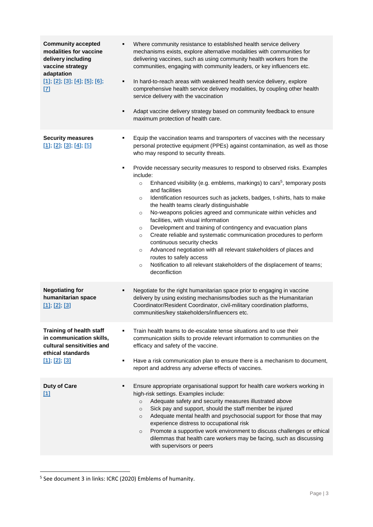| <b>Community accepted</b><br>modalities for vaccine<br>delivery including<br>vaccine strategy<br>adaptation<br>[1]; [2]; [3]; [4]; [5]; [6];<br>$[7]$ | Where community resistance to established health service delivery<br>٠<br>mechanisms exists, explore alternative modalities with communities for<br>delivering vaccines, such as using community health workers from the<br>communities, engaging with community leaders, or key influencers etc.<br>In hard-to-reach areas with weakened health service delivery, explore<br>٠<br>comprehensive health service delivery modalities, by coupling other health<br>service delivery with the vaccination<br>Adapt vaccine delivery strategy based on community feedback to ensure<br>٠<br>maximum protection of health care.                                                                                                                                                                                                                                                                                                                                                                                                                                                                     |
|-------------------------------------------------------------------------------------------------------------------------------------------------------|------------------------------------------------------------------------------------------------------------------------------------------------------------------------------------------------------------------------------------------------------------------------------------------------------------------------------------------------------------------------------------------------------------------------------------------------------------------------------------------------------------------------------------------------------------------------------------------------------------------------------------------------------------------------------------------------------------------------------------------------------------------------------------------------------------------------------------------------------------------------------------------------------------------------------------------------------------------------------------------------------------------------------------------------------------------------------------------------|
| <b>Security measures</b><br>[1]; [2]; [3]; [4]; [5]                                                                                                   | Equip the vaccination teams and transporters of vaccines with the necessary<br>٠<br>personal protective equipment (PPEs) against contamination, as well as those<br>who may respond to security threats.<br>Provide necessary security measures to respond to observed risks. Examples<br>٠<br>include:<br>Enhanced visibility (e.g. emblems, markings) to cars <sup>5</sup> , temporary posts<br>$\circ$<br>and facilities<br>Identification resources such as jackets, badges, t-shirts, hats to make<br>$\circ$<br>the health teams clearly distinguishable<br>No-weapons policies agreed and communicate within vehicles and<br>$\circ$<br>facilities, with visual information<br>Development and training of contingency and evacuation plans<br>$\circ$<br>Create reliable and systematic communication procedures to perform<br>$\circ$<br>continuous security checks<br>Advanced negotiation with all relevant stakeholders of places and<br>$\circ$<br>routes to safely access<br>Notification to all relevant stakeholders of the displacement of teams;<br>$\circ$<br>deconfliction |
| <b>Negotiating for</b><br>humanitarian space<br>$[1]$ ; $[2]$ ; $[3]$                                                                                 | Negotiate for the right humanitarian space prior to engaging in vaccine<br>٠<br>delivery by using existing mechanisms/bodies such as the Humanitarian<br>Coordinator/Resident Coordinator, civil-military coordination platforms,<br>communities/key stakeholders/influencers etc.                                                                                                                                                                                                                                                                                                                                                                                                                                                                                                                                                                                                                                                                                                                                                                                                             |
| Training of health staff<br>in communication skills,<br>cultural sensitivities and<br>ethical standards<br>$[1]$ ; $[2]$ ; $[3]$                      | Train health teams to de-escalate tense situations and to use their<br>communication skills to provide relevant information to communities on the<br>efficacy and safety of the vaccine.<br>Have a risk communication plan to ensure there is a mechanism to document,<br>٠<br>report and address any adverse effects of vaccines.                                                                                                                                                                                                                                                                                                                                                                                                                                                                                                                                                                                                                                                                                                                                                             |
| <b>Duty of Care</b><br>$[1]$                                                                                                                          | Ensure appropriate organisational support for health care workers working in<br>٠<br>high-risk settings. Examples include:<br>Adequate safety and security measures illustrated above<br>$\circ$<br>Sick pay and support, should the staff member be injured<br>$\circ$<br>Adequate mental health and psychosocial support for those that may<br>$\circ$<br>experience distress to occupational risk<br>Promote a supportive work environment to discuss challenges or ethical<br>$\circ$<br>dilemmas that health care workers may be facing, such as discussing<br>with supervisors or peers                                                                                                                                                                                                                                                                                                                                                                                                                                                                                                  |

 5 See document 3 in links: ICRC (2020) Emblems of humanity.